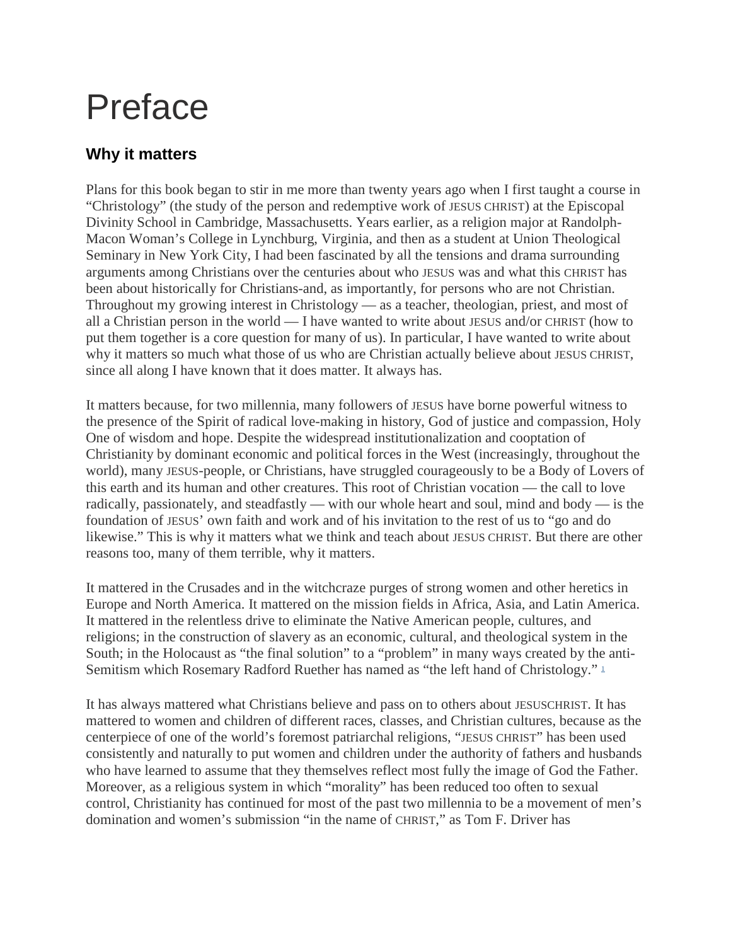# Preface

#### **Why it matters**

Plans for this book began to stir in me more than twenty years ago when I first taught a course in "Christology" (the study of the person and redemptive work of JESUS CHRIST) at the Episcopal Divinity School in Cambridge, Massachusetts. Years earlier, as a religion major at Randolph-Macon Woman's College in Lynchburg, Virginia, and then as a student at Union Theological Seminary in New York City, I had been fascinated by all the tensions and drama surrounding arguments among Christians over the centuries about who JESUS was and what this CHRIST has been about historically for Christians-and, as importantly, for persons who are not Christian. Throughout my growing interest in Christology — as a teacher, theologian, priest, and most of all a Christian person in the world — I have wanted to write about JESUS and/or CHRIST (how to put them together is a core question for many of us). In particular, I have wanted to write about why it matters so much what those of us who are Christian actually believe about JESUS CHRIST, since all along I have known that it does matter. It always has.

It matters because, for two millennia, many followers of JESUS have borne powerful witness to the presence of the Spirit of radical love-making in history, God of justice and compassion, Holy One of wisdom and hope. Despite the widespread institutionalization and cooptation of Christianity by dominant economic and political forces in the West (increasingly, throughout the world), many JESUS-people, or Christians, have struggled courageously to be a Body of Lovers of this earth and its human and other creatures. This root of Christian vocation — the call to love radically, passionately, and steadfastly — with our whole heart and soul, mind and body — is the foundation of JESUS' own faith and work and of his invitation to the rest of us to "go and do likewise." This is why it matters what we think and teach about JESUS CHRIST. But there are other reasons too, many of them terrible, why it matters.

It mattered in the Crusades and in the witchcraze purges of strong women and other heretics in Europe and North America. It mattered on the mission fields in Africa, Asia, and Latin America. It mattered in the relentless drive to eliminate the Native American people, cultures, and religions; in the construction of slavery as an economic, cultural, and theological system in the South; in the Holocaust as "the final solution" to a "problem" in many ways created by the anti-Semitism which Rosemary Radford Ruether has named as "the left hand of Christology." <sup>[1](http://www.augsburgfortress.org/store/product/2213/Saving-Jesus-from-Those-Who-Are-Right#note1)</sup>

It has always mattered what Christians believe and pass on to others about JESUSCHRIST. It has mattered to women and children of different races, classes, and Christian cultures, because as the centerpiece of one of the world's foremost patriarchal religions, "JESUS CHRIST" has been used consistently and naturally to put women and children under the authority of fathers and husbands who have learned to assume that they themselves reflect most fully the image of God the Father. Moreover, as a religious system in which "morality" has been reduced too often to sexual control, Christianity has continued for most of the past two millennia to be a movement of men's domination and women's submission "in the name of CHRIST," as Tom F. Driver has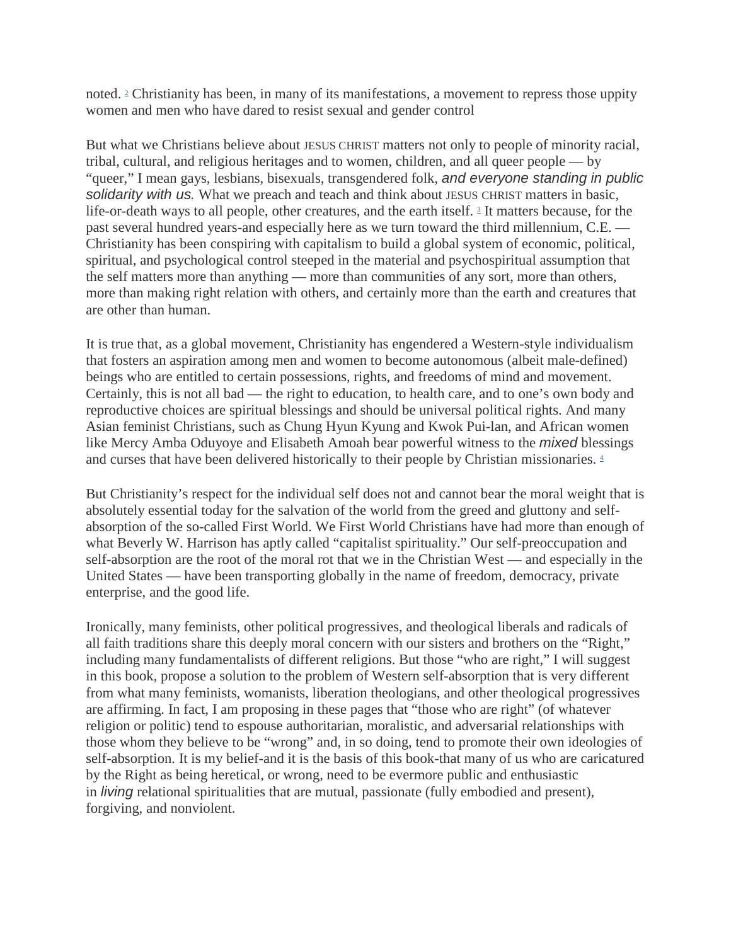noted. [2](http://www.augsburgfortress.org/store/product/2213/Saving-Jesus-from-Those-Who-Are-Right#note2) Christianity has been, in many of its manifestations, a movement to repress those uppity women and men who have dared to resist sexual and gender control

But what we Christians believe about JESUS CHRIST matters not only to people of minority racial, tribal, cultural, and religious heritages and to women, children, and all queer people — by "queer," I mean gays, lesbians, bisexuals, transgendered folk, *and everyone standing in public solidarity with us.* What we preach and teach and think about JESUS CHRIST matters in basic, life-or-death ways to all people, other creatures, and the earth itself. [3](http://www.augsburgfortress.org/store/product/2213/Saving-Jesus-from-Those-Who-Are-Right#note3) It matters because, for the past several hundred years-and especially here as we turn toward the third millennium, C.E. — Christianity has been conspiring with capitalism to build a global system of economic, political, spiritual, and psychological control steeped in the material and psychospiritual assumption that the self matters more than anything — more than communities of any sort, more than others, more than making right relation with others, and certainly more than the earth and creatures that are other than human.

It is true that, as a global movement, Christianity has engendered a Western-style individualism that fosters an aspiration among men and women to become autonomous (albeit male-defined) beings who are entitled to certain possessions, rights, and freedoms of mind and movement. Certainly, this is not all bad — the right to education, to health care, and to one's own body and reproductive choices are spiritual blessings and should be universal political rights. And many Asian feminist Christians, such as Chung Hyun Kyung and Kwok Pui-lan, and African women like Mercy Amba Oduyoye and Elisabeth Amoah bear powerful witness to the *mixed* blessings and curses that have been delivered historically to their people by Christian missionaries.  $4$ 

But Christianity's respect for the individual self does not and cannot bear the moral weight that is absolutely essential today for the salvation of the world from the greed and gluttony and selfabsorption of the so-called First World. We First World Christians have had more than enough of what Beverly W. Harrison has aptly called "capitalist spirituality." Our self-preoccupation and self-absorption are the root of the moral rot that we in the Christian West — and especially in the United States — have been transporting globally in the name of freedom, democracy, private enterprise, and the good life.

Ironically, many feminists, other political progressives, and theological liberals and radicals of all faith traditions share this deeply moral concern with our sisters and brothers on the "Right," including many fundamentalists of different religions. But those "who are right," I will suggest in this book, propose a solution to the problem of Western self-absorption that is very different from what many feminists, womanists, liberation theologians, and other theological progressives are affirming. In fact, I am proposing in these pages that "those who are right" (of whatever religion or politic) tend to espouse authoritarian, moralistic, and adversarial relationships with those whom they believe to be "wrong" and, in so doing, tend to promote their own ideologies of self-absorption. It is my belief-and it is the basis of this book-that many of us who are caricatured by the Right as being heretical, or wrong, need to be evermore public and enthusiastic in *living* relational spiritualities that are mutual, passionate (fully embodied and present), forgiving, and nonviolent.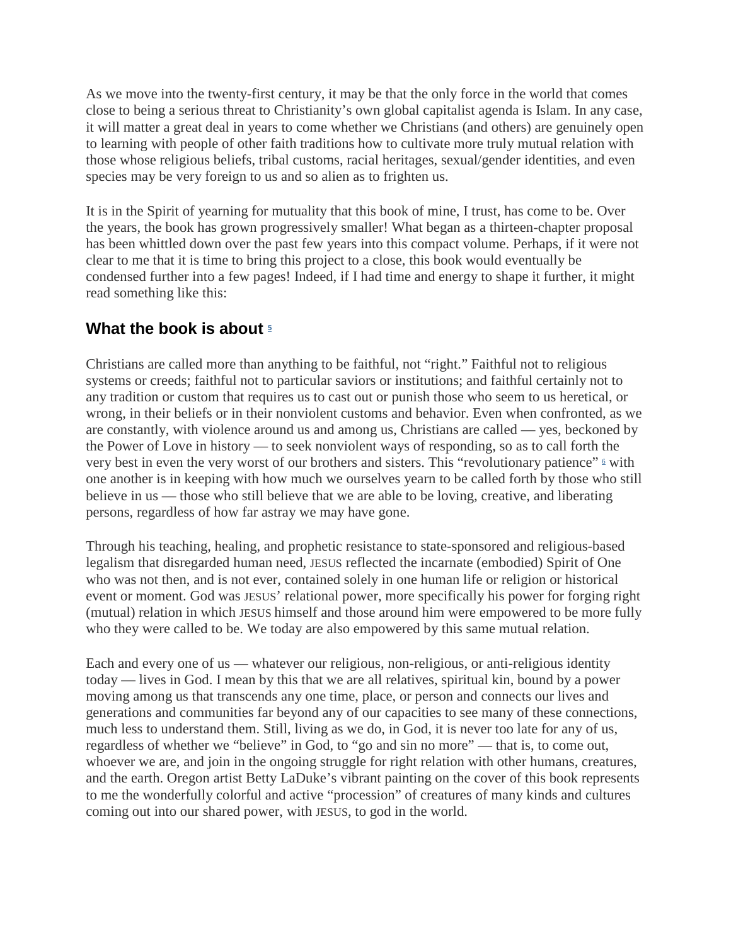As we move into the twenty-first century, it may be that the only force in the world that comes close to being a serious threat to Christianity's own global capitalist agenda is Islam. In any case, it will matter a great deal in years to come whether we Christians (and others) are genuinely open to learning with people of other faith traditions how to cultivate more truly mutual relation with those whose religious beliefs, tribal customs, racial heritages, sexual/gender identities, and even species may be very foreign to us and so alien as to frighten us.

It is in the Spirit of yearning for mutuality that this book of mine, I trust, has come to be. Over the years, the book has grown progressively smaller! What began as a thirteen-chapter proposal has been whittled down over the past few years into this compact volume. Perhaps, if it were not clear to me that it is time to bring this project to a close, this book would eventually be condensed further into a few pages! Indeed, if I had time and energy to shape it further, it might read something like this:

### **What the book is about [5](http://www.augsburgfortress.org/store/product/2213/Saving-Jesus-from-Those-Who-Are-Right#note5)**

Christians are called more than anything to be faithful, not "right." Faithful not to religious systems or creeds; faithful not to particular saviors or institutions; and faithful certainly not to any tradition or custom that requires us to cast out or punish those who seem to us heretical, or wrong, in their beliefs or in their nonviolent customs and behavior. Even when confronted, as we are constantly, with violence around us and among us, Christians are called — yes, beckoned by the Power of Love in history — to seek nonviolent ways of responding, so as to call forth the very best in even the very worst of our brothers and sisters. This "revolutionary patience"  $\epsilon$  with one another is in keeping with how much we ourselves yearn to be called forth by those who still believe in us — those who still believe that we are able to be loving, creative, and liberating persons, regardless of how far astray we may have gone.

Through his teaching, healing, and prophetic resistance to state-sponsored and religious-based legalism that disregarded human need, JESUS reflected the incarnate (embodied) Spirit of One who was not then, and is not ever, contained solely in one human life or religion or historical event or moment. God was JESUS' relational power, more specifically his power for forging right (mutual) relation in which JESUS himself and those around him were empowered to be more fully who they were called to be. We today are also empowered by this same mutual relation.

Each and every one of us — whatever our religious, non-religious, or anti-religious identity today — lives in God. I mean by this that we are all relatives, spiritual kin, bound by a power moving among us that transcends any one time, place, or person and connects our lives and generations and communities far beyond any of our capacities to see many of these connections, much less to understand them. Still, living as we do, in God, it is never too late for any of us, regardless of whether we "believe" in God, to "go and sin no more" — that is, to come out, whoever we are, and join in the ongoing struggle for right relation with other humans, creatures, and the earth. Oregon artist Betty LaDuke's vibrant painting on the cover of this book represents to me the wonderfully colorful and active "procession" of creatures of many kinds and cultures coming out into our shared power, with JESUS, to god in the world.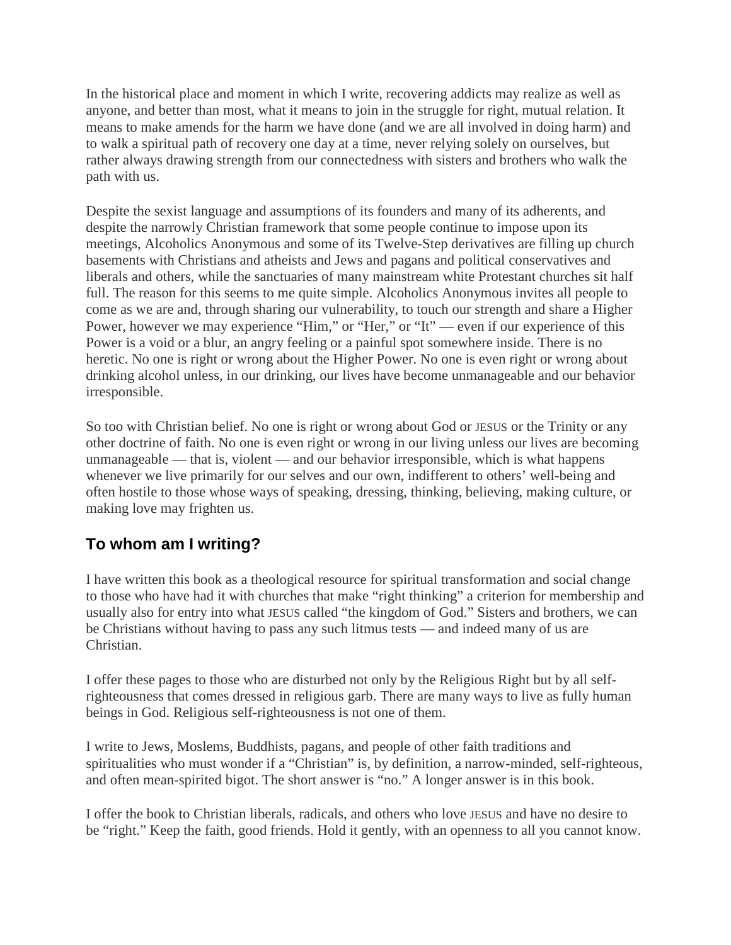In the historical place and moment in which I write, recovering addicts may realize as well as anyone, and better than most, what it means to join in the struggle for right, mutual relation. It means to make amends for the harm we have done (and we are all involved in doing harm) and to walk a spiritual path of recovery one day at a time, never relying solely on ourselves, but rather always drawing strength from our connectedness with sisters and brothers who walk the path with us.

Despite the sexist language and assumptions of its founders and many of its adherents, and despite the narrowly Christian framework that some people continue to impose upon its meetings, Alcoholics Anonymous and some of its Twelve-Step derivatives are filling up church basements with Christians and atheists and Jews and pagans and political conservatives and liberals and others, while the sanctuaries of many mainstream white Protestant churches sit half full. The reason for this seems to me quite simple. Alcoholics Anonymous invites all people to come as we are and, through sharing our vulnerability, to touch our strength and share a Higher Power, however we may experience "Him," or "Her," or "It" — even if our experience of this Power is a void or a blur, an angry feeling or a painful spot somewhere inside. There is no heretic. No one is right or wrong about the Higher Power. No one is even right or wrong about drinking alcohol unless, in our drinking, our lives have become unmanageable and our behavior irresponsible.

So too with Christian belief. No one is right or wrong about God or JESUS or the Trinity or any other doctrine of faith. No one is even right or wrong in our living unless our lives are becoming unmanageable — that is, violent — and our behavior irresponsible, which is what happens whenever we live primarily for our selves and our own, indifferent to others' well-being and often hostile to those whose ways of speaking, dressing, thinking, believing, making culture, or making love may frighten us.

## **To whom am I writing?**

I have written this book as a theological resource for spiritual transformation and social change to those who have had it with churches that make "right thinking" a criterion for membership and usually also for entry into what JESUS called "the kingdom of God." Sisters and brothers, we can be Christians without having to pass any such litmus tests — and indeed many of us are Christian.

I offer these pages to those who are disturbed not only by the Religious Right but by all selfrighteousness that comes dressed in religious garb. There are many ways to live as fully human beings in God. Religious self-righteousness is not one of them.

I write to Jews, Moslems, Buddhists, pagans, and people of other faith traditions and spiritualities who must wonder if a "Christian" is, by definition, a narrow-minded, self-righteous, and often mean-spirited bigot. The short answer is "no." A longer answer is in this book.

I offer the book to Christian liberals, radicals, and others who love JESUS and have no desire to be "right." Keep the faith, good friends. Hold it gently, with an openness to all you cannot know.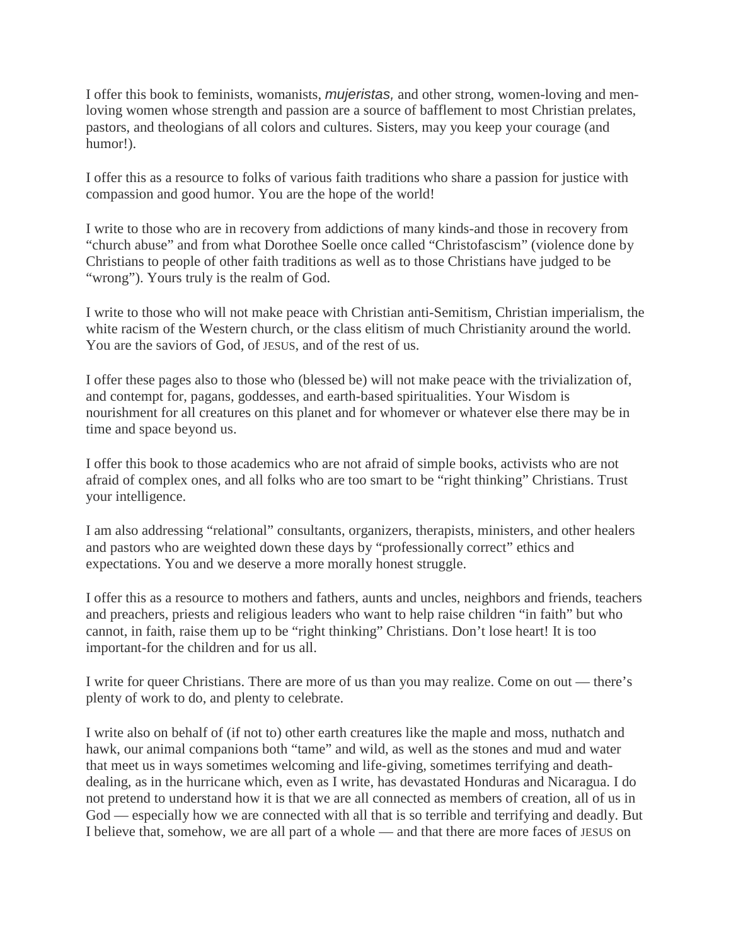I offer this book to feminists, womanists, *mujeristas,* and other strong, women-loving and menloving women whose strength and passion are a source of bafflement to most Christian prelates, pastors, and theologians of all colors and cultures. Sisters, may you keep your courage (and humor!).

I offer this as a resource to folks of various faith traditions who share a passion for justice with compassion and good humor. You are the hope of the world!

I write to those who are in recovery from addictions of many kinds-and those in recovery from "church abuse" and from what Dorothee Soelle once called "Christofascism" (violence done by Christians to people of other faith traditions as well as to those Christians have judged to be "wrong"). Yours truly is the realm of God.

I write to those who will not make peace with Christian anti-Semitism, Christian imperialism, the white racism of the Western church, or the class elitism of much Christianity around the world. You are the saviors of God, of JESUS, and of the rest of us.

I offer these pages also to those who (blessed be) will not make peace with the trivialization of, and contempt for, pagans, goddesses, and earth-based spiritualities. Your Wisdom is nourishment for all creatures on this planet and for whomever or whatever else there may be in time and space beyond us.

I offer this book to those academics who are not afraid of simple books, activists who are not afraid of complex ones, and all folks who are too smart to be "right thinking" Christians. Trust your intelligence.

I am also addressing "relational" consultants, organizers, therapists, ministers, and other healers and pastors who are weighted down these days by "professionally correct" ethics and expectations. You and we deserve a more morally honest struggle.

I offer this as a resource to mothers and fathers, aunts and uncles, neighbors and friends, teachers and preachers, priests and religious leaders who want to help raise children "in faith" but who cannot, in faith, raise them up to be "right thinking" Christians. Don't lose heart! It is too important-for the children and for us all.

I write for queer Christians. There are more of us than you may realize. Come on out — there's plenty of work to do, and plenty to celebrate.

I write also on behalf of (if not to) other earth creatures like the maple and moss, nuthatch and hawk, our animal companions both "tame" and wild, as well as the stones and mud and water that meet us in ways sometimes welcoming and life-giving, sometimes terrifying and deathdealing, as in the hurricane which, even as I write, has devastated Honduras and Nicaragua. I do not pretend to understand how it is that we are all connected as members of creation, all of us in God — especially how we are connected with all that is so terrible and terrifying and deadly. But I believe that, somehow, we are all part of a whole — and that there are more faces of JESUS on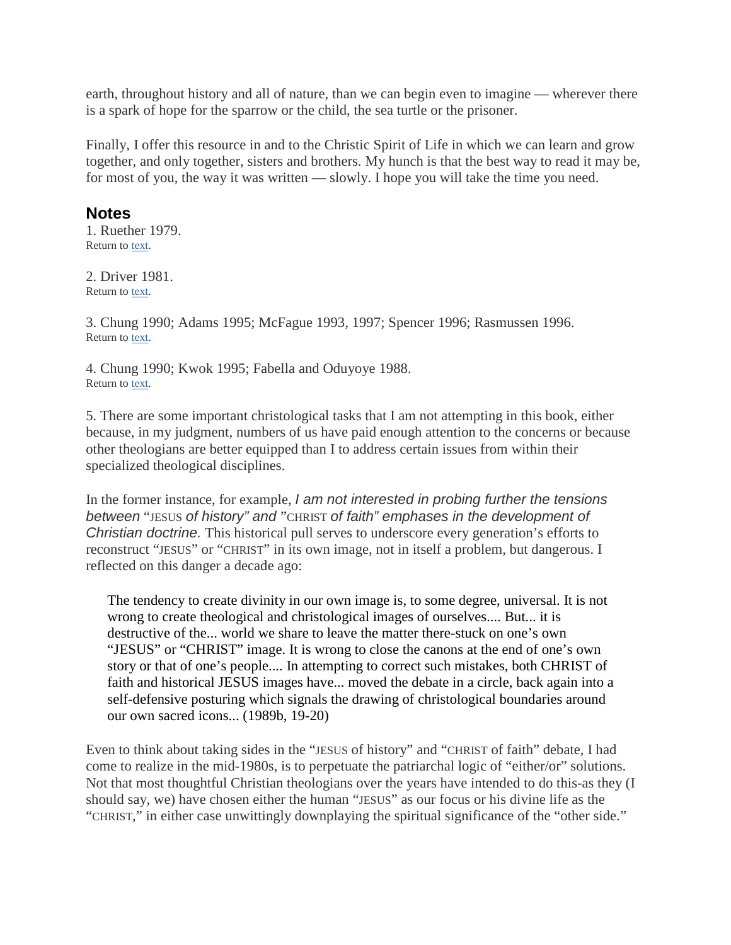earth, throughout history and all of nature, than we can begin even to imagine — wherever there is a spark of hope for the sparrow or the child, the sea turtle or the prisoner.

Finally, I offer this resource in and to the Christic Spirit of Life in which we can learn and grow together, and only together, sisters and brothers. My hunch is that the best way to read it may be, for most of you, the way it was written — slowly. I hope you will take the time you need.

#### **Notes**

1. Ruether 1979. Return to [text.](http://www.augsburgfortress.org/store/product/2213/Saving-Jesus-from-Those-Who-Are-Right#note1a)

2. Driver 1981. Return to [text.](http://www.augsburgfortress.org/store/product/2213/Saving-Jesus-from-Those-Who-Are-Right#note2a)

3. Chung 1990; Adams 1995; McFague 1993, 1997; Spencer 1996; Rasmussen 1996. Return to [text.](http://www.augsburgfortress.org/store/product/2213/Saving-Jesus-from-Those-Who-Are-Right#note3a)

4. Chung 1990; Kwok 1995; Fabella and Oduyoye 1988. Return to [text.](http://www.augsburgfortress.org/store/product/2213/Saving-Jesus-from-Those-Who-Are-Right#note4a)

5. There are some important christological tasks that I am not attempting in this book, either because, in my judgment, numbers of us have paid enough attention to the concerns or because other theologians are better equipped than I to address certain issues from within their specialized theological disciplines.

In the former instance, for example, *I am not interested in probing further the tensions between* "JESUS *of history" and* "CHRIST *of faith" emphases in the development of Christian doctrine.* This historical pull serves to underscore every generation's efforts to reconstruct "JESUS" or "CHRIST" in its own image, not in itself a problem, but dangerous. I reflected on this danger a decade ago:

The tendency to create divinity in our own image is, to some degree, universal. It is not wrong to create theological and christological images of ourselves.... But... it is destructive of the... world we share to leave the matter there-stuck on one's own "JESUS" or "CHRIST" image. It is wrong to close the canons at the end of one's own story or that of one's people.... In attempting to correct such mistakes, both CHRIST of faith and historical JESUS images have... moved the debate in a circle, back again into a self-defensive posturing which signals the drawing of christological boundaries around our own sacred icons... (1989b, 19-20)

Even to think about taking sides in the "JESUS of history" and "CHRIST of faith" debate, I had come to realize in the mid-1980s, is to perpetuate the patriarchal logic of "either/or" solutions. Not that most thoughtful Christian theologians over the years have intended to do this-as they (I should say, we) have chosen either the human "JESUS" as our focus or his divine life as the "CHRIST," in either case unwittingly downplaying the spiritual significance of the "other side."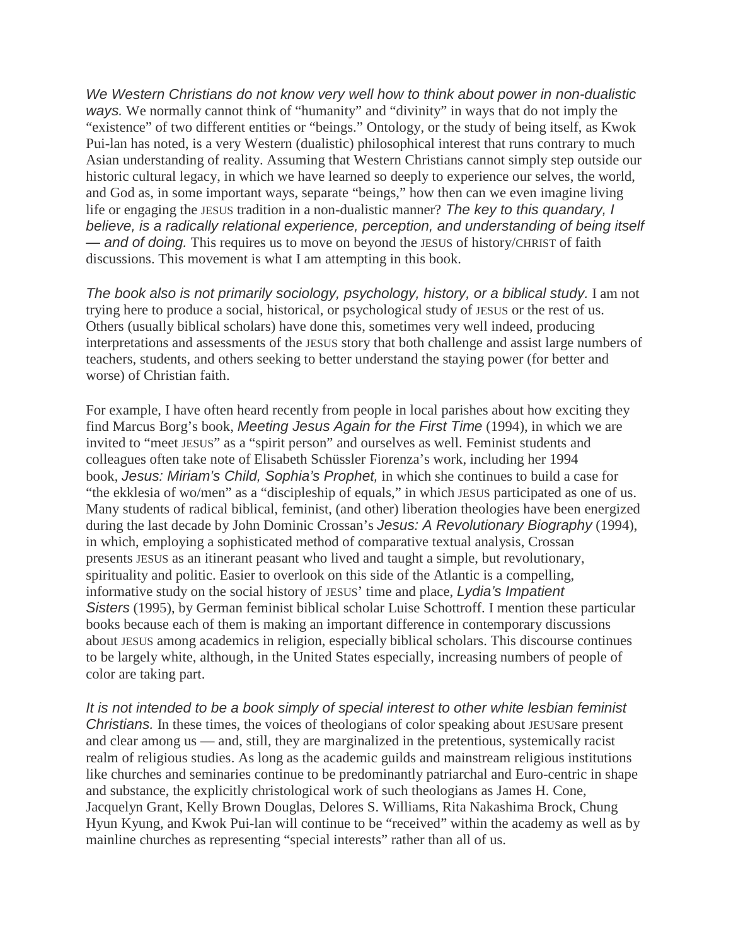*We Western Christians do not know very well how to think about power in non-dualistic ways.* We normally cannot think of "humanity" and "divinity" in ways that do not imply the "existence" of two different entities or "beings." Ontology, or the study of being itself, as Kwok Pui-lan has noted, is a very Western (dualistic) philosophical interest that runs contrary to much Asian understanding of reality. Assuming that Western Christians cannot simply step outside our historic cultural legacy, in which we have learned so deeply to experience our selves, the world, and God as, in some important ways, separate "beings," how then can we even imagine living life or engaging the JESUS tradition in a non-dualistic manner? *The key to this quandary, I believe, is a radically relational experience, perception, and understanding of being itself — and of doing.* This requires us to move on beyond the JESUS of history/CHRIST of faith discussions. This movement is what I am attempting in this book.

*The book also is not primarily sociology, psychology, history, or a biblical study.* I am not trying here to produce a social, historical, or psychological study of JESUS or the rest of us. Others (usually biblical scholars) have done this, sometimes very well indeed, producing interpretations and assessments of the JESUS story that both challenge and assist large numbers of teachers, students, and others seeking to better understand the staying power (for better and worse) of Christian faith.

For example, I have often heard recently from people in local parishes about how exciting they find Marcus Borg's book, *Meeting Jesus Again for the First Time* (1994), in which we are invited to "meet JESUS" as a "spirit person" and ourselves as well. Feminist students and colleagues often take note of Elisabeth Schüssler Fiorenza's work, including her 1994 book, *Jesus: Miriam's Child, Sophia's Prophet,* in which she continues to build a case for "the ekklesia of wo/men" as a "discipleship of equals," in which JESUS participated as one of us. Many students of radical biblical, feminist, (and other) liberation theologies have been energized during the last decade by John Dominic Crossan's *Jesus: A Revolutionary Biography* (1994), in which, employing a sophisticated method of comparative textual analysis, Crossan presents JESUS as an itinerant peasant who lived and taught a simple, but revolutionary, spirituality and politic. Easier to overlook on this side of the Atlantic is a compelling, informative study on the social history of JESUS' time and place, *Lydia's Impatient Sisters* (1995), by German feminist biblical scholar Luise Schottroff. I mention these particular books because each of them is making an important difference in contemporary discussions about JESUS among academics in religion, especially biblical scholars. This discourse continues to be largely white, although, in the United States especially, increasing numbers of people of color are taking part.

*It is not intended to be a book simply of special interest to other white lesbian feminist Christians.* In these times, the voices of theologians of color speaking about JESUSare present and clear among us — and, still, they are marginalized in the pretentious, systemically racist realm of religious studies. As long as the academic guilds and mainstream religious institutions like churches and seminaries continue to be predominantly patriarchal and Euro-centric in shape and substance, the explicitly christological work of such theologians as James H. Cone, Jacquelyn Grant, Kelly Brown Douglas, Delores S. Williams, Rita Nakashima Brock, Chung Hyun Kyung, and Kwok Pui-lan will continue to be "received" within the academy as well as by mainline churches as representing "special interests" rather than all of us.